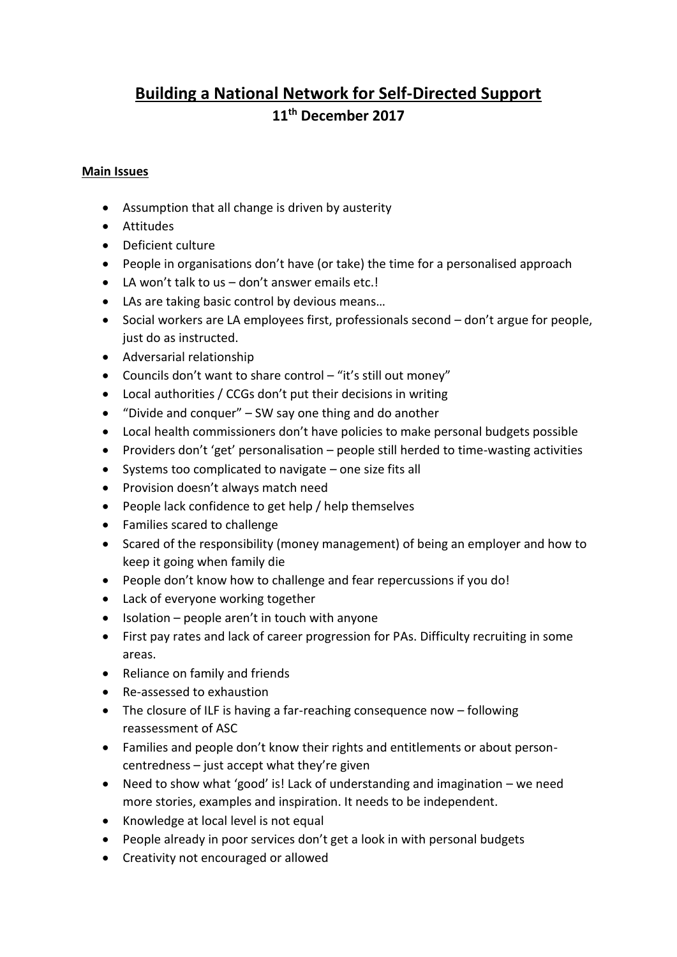# **Building a National Network for Self-Directed Support 11th December 2017**

#### **Main Issues**

- Assumption that all change is driven by austerity
- Attitudes
- Deficient culture
- People in organisations don't have (or take) the time for a personalised approach
- LA won't talk to us don't answer emails etc.!
- LAs are taking basic control by devious means…
- Social workers are LA employees first, professionals second don't argue for people, just do as instructed.
- Adversarial relationship
- Councils don't want to share control "it's still out money"
- Local authorities / CCGs don't put their decisions in writing
- "Divide and conquer" SW say one thing and do another
- Local health commissioners don't have policies to make personal budgets possible
- Providers don't 'get' personalisation people still herded to time-wasting activities
- Systems too complicated to navigate one size fits all
- Provision doesn't always match need
- People lack confidence to get help / help themselves
- Families scared to challenge
- Scared of the responsibility (money management) of being an employer and how to keep it going when family die
- People don't know how to challenge and fear repercussions if you do!
- Lack of everyone working together
- $\bullet$  Isolation people aren't in touch with anyone
- First pay rates and lack of career progression for PAs. Difficulty recruiting in some areas.
- Reliance on family and friends
- Re-assessed to exhaustion
- The closure of ILF is having a far-reaching consequence now following reassessment of ASC
- Families and people don't know their rights and entitlements or about personcentredness – just accept what they're given
- Need to show what 'good' is! Lack of understanding and imagination we need more stories, examples and inspiration. It needs to be independent.
- Knowledge at local level is not equal
- People already in poor services don't get a look in with personal budgets
- Creativity not encouraged or allowed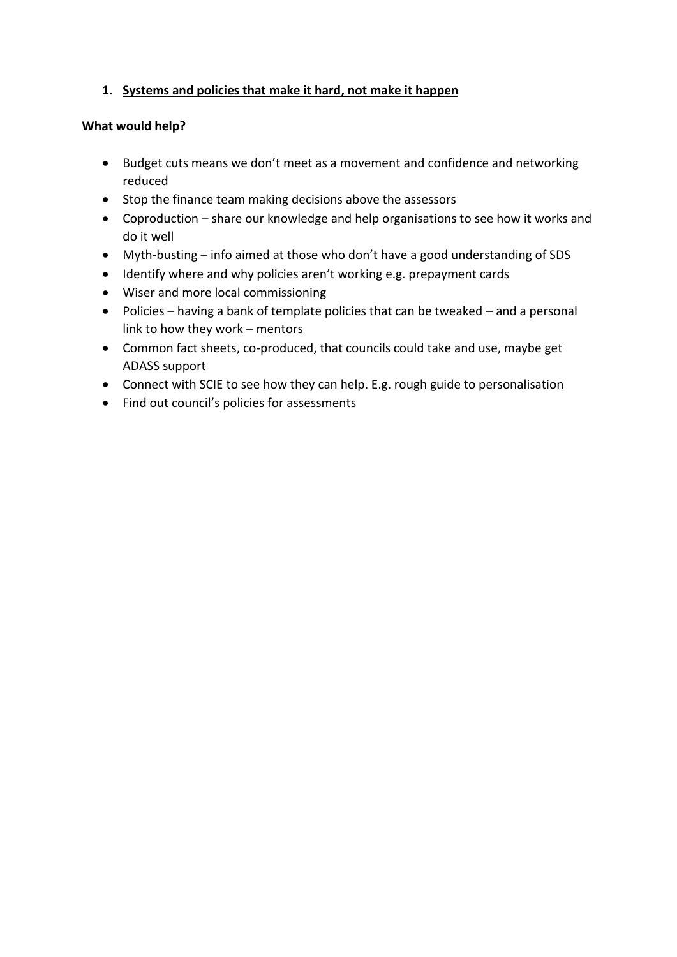## **1. Systems and policies that make it hard, not make it happen**

#### **What would help?**

- Budget cuts means we don't meet as a movement and confidence and networking reduced
- Stop the finance team making decisions above the assessors
- Coproduction share our knowledge and help organisations to see how it works and do it well
- Myth-busting info aimed at those who don't have a good understanding of SDS
- Identify where and why policies aren't working e.g. prepayment cards
- Wiser and more local commissioning
- Policies having a bank of template policies that can be tweaked and a personal link to how they work – mentors
- Common fact sheets, co-produced, that councils could take and use, maybe get ADASS support
- Connect with SCIE to see how they can help. E.g. rough guide to personalisation
- Find out council's policies for assessments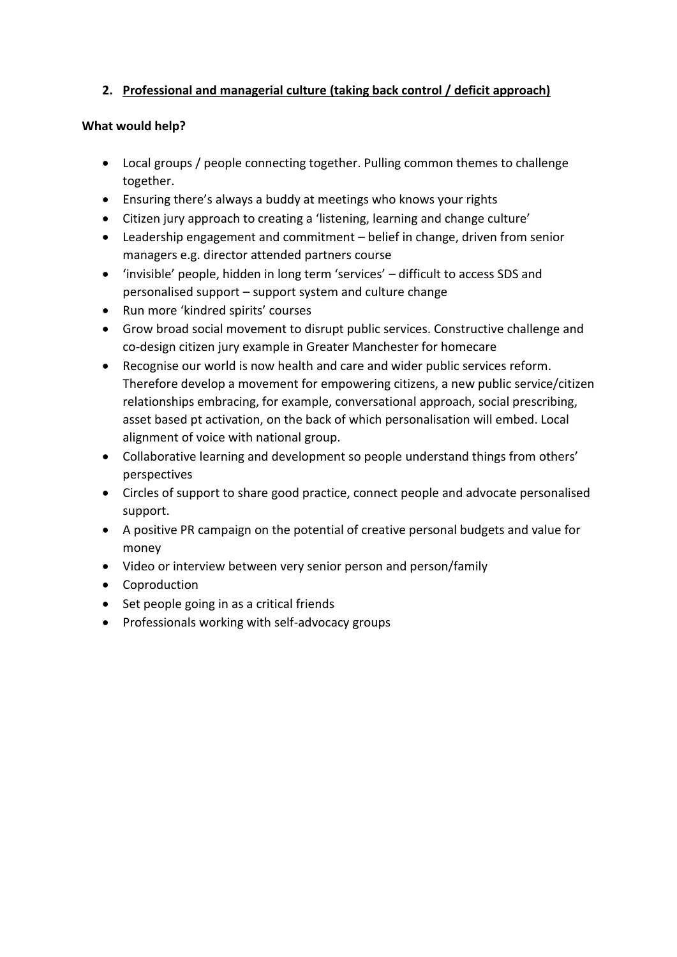# **2. Professional and managerial culture (taking back control / deficit approach)**

#### **What would help?**

- Local groups / people connecting together. Pulling common themes to challenge together.
- Ensuring there's always a buddy at meetings who knows your rights
- Citizen jury approach to creating a 'listening, learning and change culture'
- Leadership engagement and commitment belief in change, driven from senior managers e.g. director attended partners course
- 'invisible' people, hidden in long term 'services' difficult to access SDS and personalised support – support system and culture change
- Run more 'kindred spirits' courses
- Grow broad social movement to disrupt public services. Constructive challenge and co-design citizen jury example in Greater Manchester for homecare
- Recognise our world is now health and care and wider public services reform. Therefore develop a movement for empowering citizens, a new public service/citizen relationships embracing, for example, conversational approach, social prescribing, asset based pt activation, on the back of which personalisation will embed. Local alignment of voice with national group.
- Collaborative learning and development so people understand things from others' perspectives
- Circles of support to share good practice, connect people and advocate personalised support.
- A positive PR campaign on the potential of creative personal budgets and value for money
- Video or interview between very senior person and person/family
- Coproduction
- Set people going in as a critical friends
- Professionals working with self-advocacy groups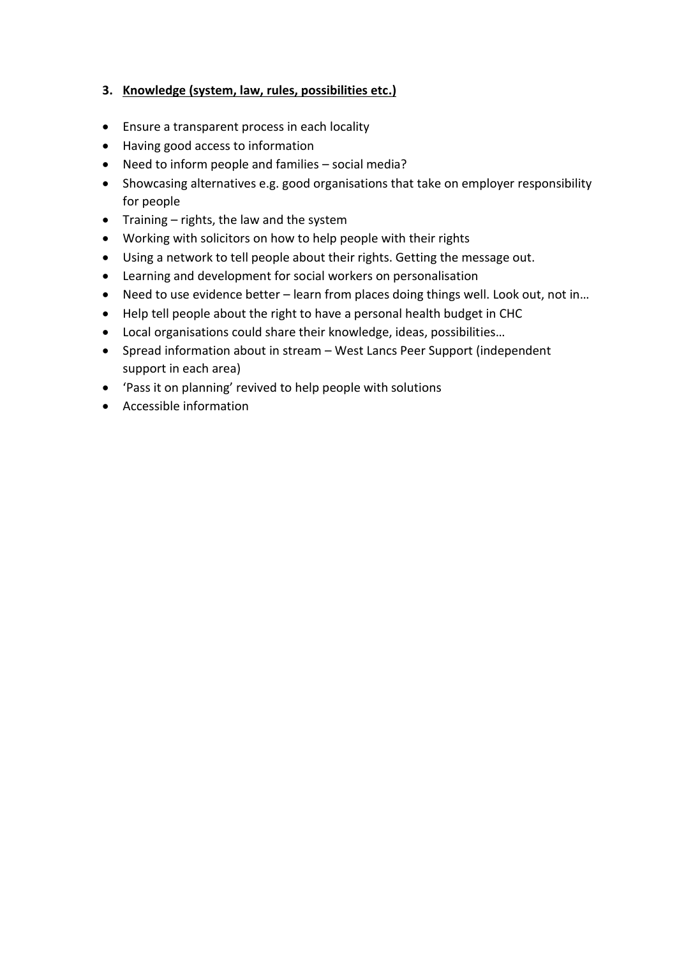#### **3. Knowledge (system, law, rules, possibilities etc.)**

- Ensure a transparent process in each locality
- Having good access to information
- Need to inform people and families social media?
- Showcasing alternatives e.g. good organisations that take on employer responsibility for people
- Training rights, the law and the system
- Working with solicitors on how to help people with their rights
- Using a network to tell people about their rights. Getting the message out.
- Learning and development for social workers on personalisation
- Need to use evidence better learn from places doing things well. Look out, not in...
- Help tell people about the right to have a personal health budget in CHC
- Local organisations could share their knowledge, ideas, possibilities…
- Spread information about in stream West Lancs Peer Support (independent support in each area)
- 'Pass it on planning' revived to help people with solutions
- Accessible information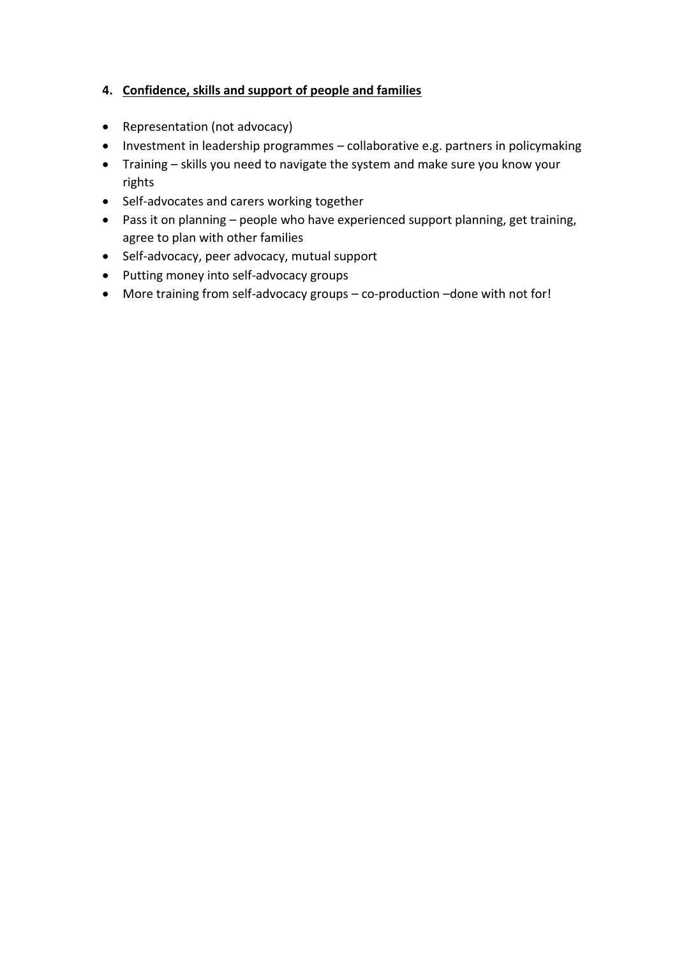## **4. Confidence, skills and support of people and families**

- Representation (not advocacy)
- Investment in leadership programmes collaborative e.g. partners in policymaking
- Training skills you need to navigate the system and make sure you know your rights
- Self-advocates and carers working together
- Pass it on planning people who have experienced support planning, get training, agree to plan with other families
- Self-advocacy, peer advocacy, mutual support
- Putting money into self-advocacy groups
- More training from self-advocacy groups co-production –done with not for!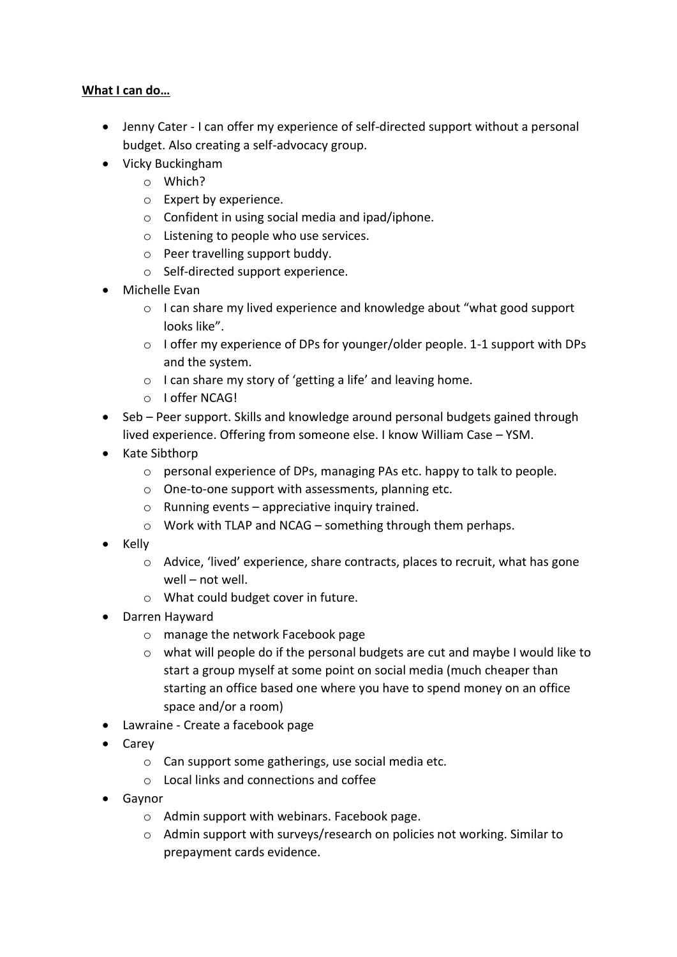#### **What I can do…**

- Jenny Cater I can offer my experience of self-directed support without a personal budget. Also creating a self-advocacy group.
- Vicky Buckingham
	- o Which?
	- o Expert by experience.
	- o Confident in using social media and ipad/iphone.
	- o Listening to people who use services.
	- o Peer travelling support buddy.
	- o Self-directed support experience.
- Michelle Evan
	- o I can share my lived experience and knowledge about "what good support looks like".
	- $\circ$  I offer my experience of DPs for younger/older people. 1-1 support with DPs and the system.
	- o I can share my story of 'getting a life' and leaving home.
	- o I offer NCAG!
- Seb Peer support. Skills and knowledge around personal budgets gained through lived experience. Offering from someone else. I know William Case – YSM.
- Kate Sibthorp
	- o personal experience of DPs, managing PAs etc. happy to talk to people.
	- o One-to-one support with assessments, planning etc.
	- $\circ$  Running events appreciative inquiry trained.
	- o Work with TLAP and NCAG something through them perhaps.
- $\bullet$  Kelly
	- o Advice, 'lived' experience, share contracts, places to recruit, what has gone well – not well.
	- o What could budget cover in future.
- Darren Hayward
	- o manage the network Facebook page
	- o what will people do if the personal budgets are cut and maybe I would like to start a group myself at some point on social media (much cheaper than starting an office based one where you have to spend money on an office space and/or a room)
- Lawraine Create a facebook page
- Carev
	- o Can support some gatherings, use social media etc.
	- o Local links and connections and coffee
- Gaynor
	- o Admin support with webinars. Facebook page.
	- o Admin support with surveys/research on policies not working. Similar to prepayment cards evidence.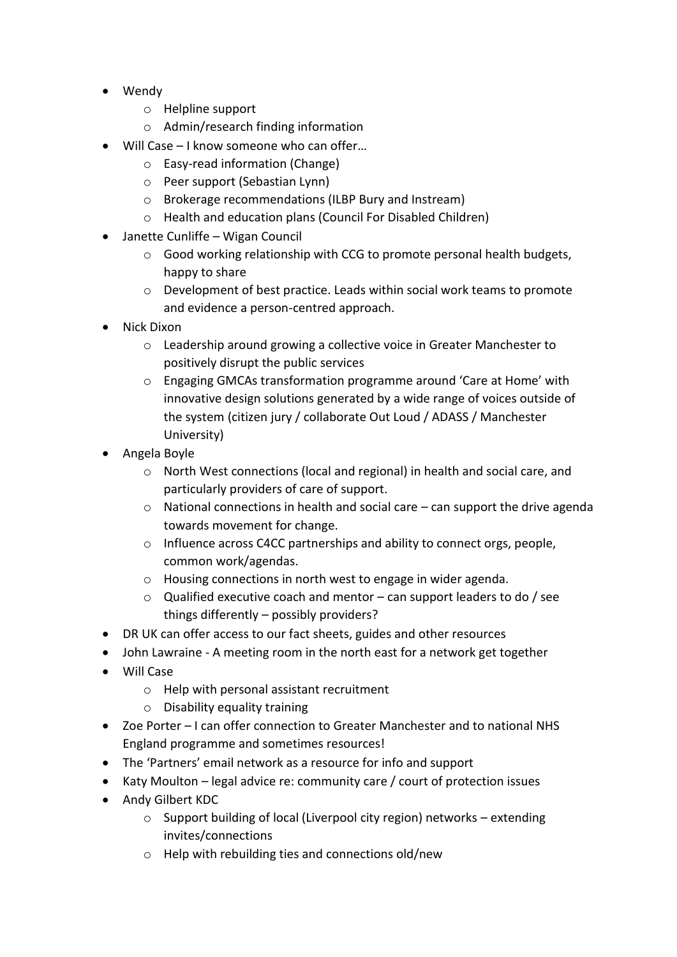- Wendy
	- o Helpline support
	- o Admin/research finding information
- Will Case I know someone who can offer…
	- o Easy-read information (Change)
	- o Peer support (Sebastian Lynn)
	- o Brokerage recommendations (ILBP Bury and Instream)
	- o Health and education plans (Council For Disabled Children)
- Janette Cunliffe Wigan Council
	- o Good working relationship with CCG to promote personal health budgets, happy to share
	- o Development of best practice. Leads within social work teams to promote and evidence a person-centred approach.
- Nick Dixon
	- o Leadership around growing a collective voice in Greater Manchester to positively disrupt the public services
	- o Engaging GMCAs transformation programme around 'Care at Home' with innovative design solutions generated by a wide range of voices outside of the system (citizen jury / collaborate Out Loud / ADASS / Manchester University)
- Angela Boyle
	- o North West connections (local and regional) in health and social care, and particularly providers of care of support.
	- o National connections in health and social care can support the drive agenda towards movement for change.
	- o Influence across C4CC partnerships and ability to connect orgs, people, common work/agendas.
	- o Housing connections in north west to engage in wider agenda.
	- o Qualified executive coach and mentor can support leaders to do / see things differently – possibly providers?
- DR UK can offer access to our fact sheets, guides and other resources
- John Lawraine A meeting room in the north east for a network get together
- Will Case
	- o Help with personal assistant recruitment
	- o Disability equality training
- Zoe Porter I can offer connection to Greater Manchester and to national NHS England programme and sometimes resources!
- The 'Partners' email network as a resource for info and support
- Katy Moulton legal advice re: community care / court of protection issues
- Andy Gilbert KDC
	- o Support building of local (Liverpool city region) networks extending invites/connections
	- o Help with rebuilding ties and connections old/new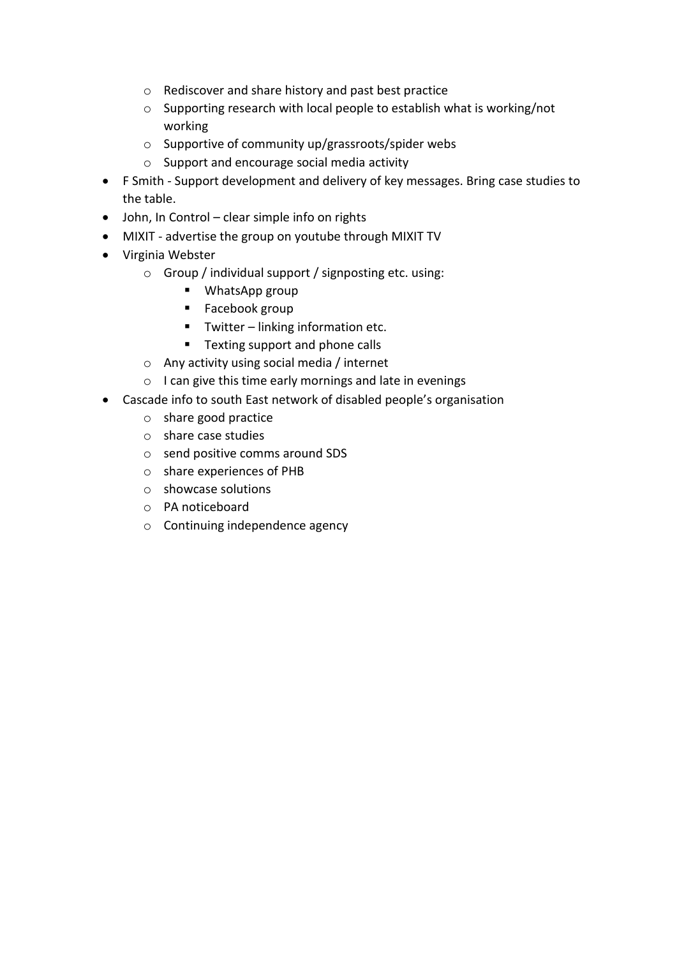- o Rediscover and share history and past best practice
- o Supporting research with local people to establish what is working/not working
- o Supportive of community up/grassroots/spider webs
- o Support and encourage social media activity
- F Smith Support development and delivery of key messages. Bring case studies to the table.
- John, In Control clear simple info on rights
- MIXIT advertise the group on youtube through MIXIT TV
- Virginia Webster
	- o Group / individual support / signposting etc. using:
		- WhatsApp group
		- Facebook group
		- Twitter linking information etc.
		- Texting support and phone calls
	- o Any activity using social media / internet
	- o I can give this time early mornings and late in evenings
- Cascade info to south East network of disabled people's organisation
	- o share good practice
	- o share case studies
	- o send positive comms around SDS
	- o share experiences of PHB
	- o showcase solutions
	- o PA noticeboard
	- o Continuing independence agency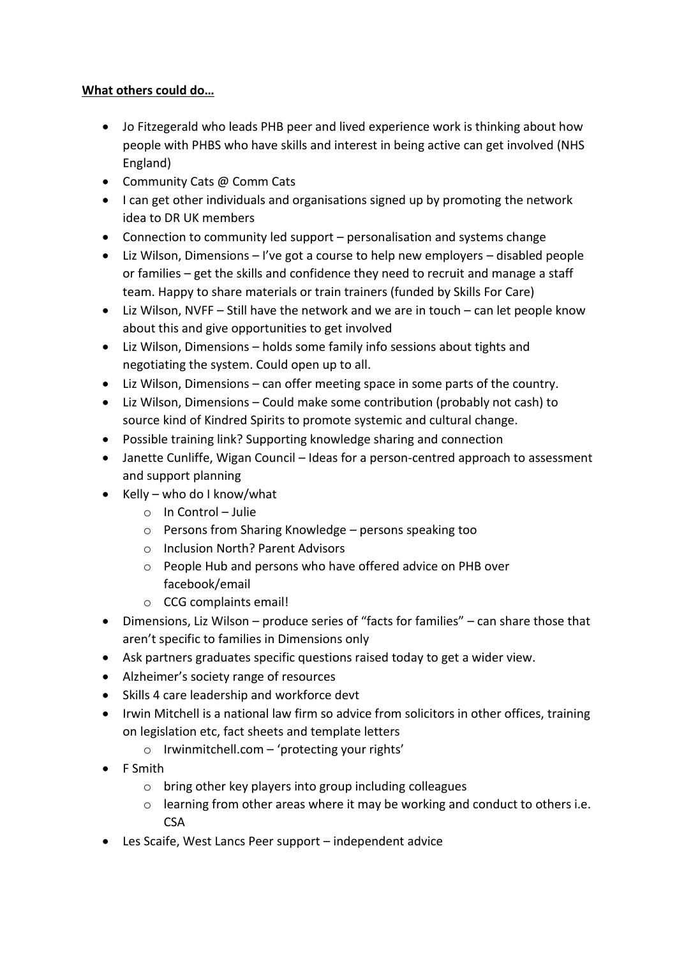## **What others could do…**

- Jo Fitzegerald who leads PHB peer and lived experience work is thinking about how people with PHBS who have skills and interest in being active can get involved (NHS England)
- Community Cats @ Comm Cats
- I can get other individuals and organisations signed up by promoting the network idea to DR UK members
- Connection to community led support personalisation and systems change
- Liz Wilson, Dimensions I've got a course to help new employers disabled people or families – get the skills and confidence they need to recruit and manage a staff team. Happy to share materials or train trainers (funded by Skills For Care)
- Liz Wilson, NVFF Still have the network and we are in touch can let people know about this and give opportunities to get involved
- Liz Wilson, Dimensions holds some family info sessions about tights and negotiating the system. Could open up to all.
- Liz Wilson, Dimensions can offer meeting space in some parts of the country.
- Liz Wilson, Dimensions Could make some contribution (probably not cash) to source kind of Kindred Spirits to promote systemic and cultural change.
- Possible training link? Supporting knowledge sharing and connection
- Janette Cunliffe, Wigan Council Ideas for a person-centred approach to assessment and support planning
- $\bullet$  Kelly who do I know/what
	- o In Control Julie
	- o Persons from Sharing Knowledge persons speaking too
	- o Inclusion North? Parent Advisors
	- o People Hub and persons who have offered advice on PHB over facebook/email
	- o CCG complaints email!
- Dimensions, Liz Wilson produce series of "facts for families" can share those that aren't specific to families in Dimensions only
- Ask partners graduates specific questions raised today to get a wider view.
- Alzheimer's society range of resources
- Skills 4 care leadership and workforce devt
- Irwin Mitchell is a national law firm so advice from solicitors in other offices, training on legislation etc, fact sheets and template letters
	- o Irwinmitchell.com 'protecting your rights'
- F Smith
	- o bring other key players into group including colleagues
	- o learning from other areas where it may be working and conduct to others i.e. **CSA**
- Les Scaife, West Lancs Peer support independent advice